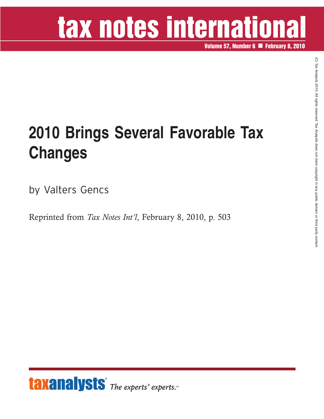# tax notes international

**Volume 57, Number 6 February 8, 2010**

### **2010 Brings Several Favorable Tax Changes**

by Valters Gencs

Reprinted from *Tax Notes Int'l*, February 8, 2010, p. 503

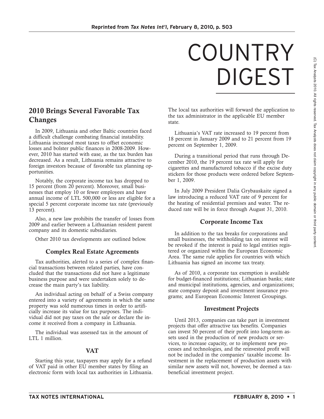## COUNTRY DIGEST

#### **2010 Brings Several Favorable Tax Changes**

In 2009, Lithuania and other Baltic countries faced a difficult challenge combating financial instability. Lithuania increased most taxes to offset economic losses and bolster public finances in 2008-2009. However, 2010 has started with ease, as the tax burden has decreased. As a result, Lithuania remains attractive to foreign investors because of favorable tax planning opportunities.

Notably, the corporate income tax has dropped to 15 percent (from 20 percent). Moreover, small businesses that employ 10 or fewer employees and have annual income of LTL 500,000 or less are eligible for a special 5 percent corporate income tax rate (previously 13 percent).

Also, a new law prohibits the transfer of losses from 2009 and earlier between a Lithuanian resident parent company and its domestic subsidiaries.

Other 2010 tax developments are outlined below.

#### **Complex Real Estate Agreements**

Tax authorities, alerted to a series of complex financial transactions between related parties, have concluded that the transactions did not have a legitimate business purpose and were undertaken solely to decrease the main party's tax liability.

An individual acting on behalf of a Swiss company entered into a variety of agreements in which the same property was sold numerous times in order to artificially increase its value for tax purposes. The individual did not pay taxes on the sale or declare the income it received from a company in Lithuania.

The individual was assessed tax in the amount of LTL 1 million.

#### **VAT**

Starting this year, taxpayers may apply for a refund of VAT paid in other EU member states by filing an electronic form with local tax authorities in Lithuania.

The local tax authorities will forward the application to the tax administrator in the applicable EU member state.

Lithuania's VAT rate increased to 19 percent from 18 percent in January 2009 and to 21 percent from 19 percent on September 1, 2009.

During a transitional period that runs through December 2010, the 19 percent tax rate will apply for cigarettes and manufactured tobacco if the excise duty stickers for those products were ordered before September 1, 2009.

In July 2009 President Dalia Grybauskaite signed a law introducing a reduced VAT rate of 9 percent for the heating of residential premises and water. The reduced rate will be in force through August 31, 2010.

#### **Corporate Income Tax**

In addition to the tax breaks for corporations and small businesses, the withholding tax on interest will be revoked if the interest is paid to legal entities registered or organized within the European Economic Area. The same rule applies for countries with which Lithuania has signed an income tax treaty.

As of 2010, a corporate tax exemption is available for budget-financed institutions; Lithuanian banks; state and municipal institutions, agencies, and organizations; state company deposit and investment insurance programs; and European Economic Interest Groupings.

#### **Investment Projects**

Until 2013, companies can take part in investment projects that offer attractive tax benefits. Companies can invest 50 percent of their profit into long-term assets used in the production of new products or services, to increase capacity, or to implement new processes and technologies, and the reinvested profit will not be included in the companies' taxable income. Investment in the replacement of production assets with similar new assets will not, however, be deemed a taxbeneficial investment project.